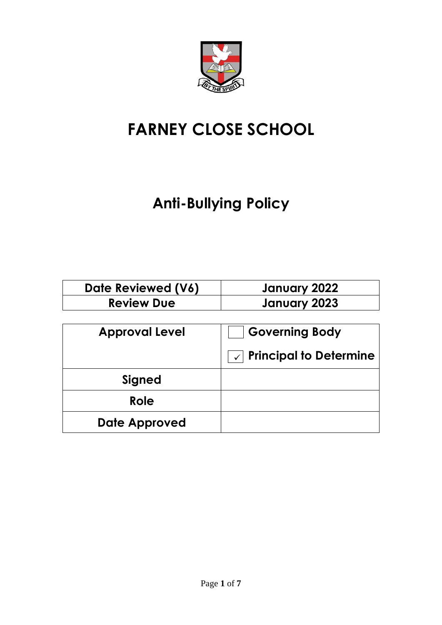

# **FARNEY CLOSE SCHOOL**

## **Anti-Bullying Policy**

| Date Reviewed (V6) | January 2022 |
|--------------------|--------------|
| <b>Review Due</b>  | January 2023 |

| <b>Approval Level</b> | <b>Governing Body</b>             |
|-----------------------|-----------------------------------|
|                       | $\sqrt{ }$ Principal to Determine |
| Signed                |                                   |
| Role                  |                                   |
| Date Approved         |                                   |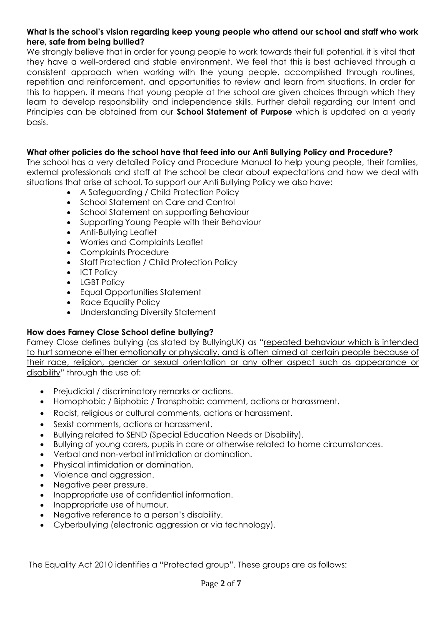## **What is the school's vision regarding keep young people who attend our school and staff who work here, safe from being bullied?**

We strongly believe that in order for young people to work towards their full potential, it is vital that they have a well-ordered and stable environment. We feel that this is best achieved through a consistent approach when working with the young people, accomplished through routines, repetition and reinforcement, and opportunities to review and learn from situations. In order for this to happen, it means that young people at the school are given choices through which they learn to develop responsibility and independence skills. Further detail regarding our Intent and Principles can be obtained from our **School Statement of Purpose** which is updated on a yearly basis.

## **What other policies do the school have that feed into our Anti Bullying Policy and Procedure?**

The school has a very detailed Policy and Procedure Manual to help young people, their families, external professionals and staff at the school be clear about expectations and how we deal with situations that arise at school. To support our Anti Bullying Policy we also have:

- A Safeguarding / Child Protection Policy
- School Statement on Care and Control
- School Statement on supporting Behaviour
- Supporting Young People with their Behaviour
- Anti-Bullying Leaflet
- Worries and Complaints Leaflet
- Complaints Procedure
- Staff Protection / Child Protection Policy
- ICT Policy
- LGBT Policy
- Equal Opportunities Statement
- Race Equality Policy
- Understanding Diversity Statement

## **How does Farney Close School define bullying?**

Farney Close defines bullying (as stated by BullyingUK) as "repeated behaviour which is intended to hurt someone either emotionally or physically, and is often aimed at certain people because of their race, religion, gender or sexual orientation or any other aspect such as appearance or disability" through the use of:

- Prejudicial / discriminatory remarks or actions.
- Homophobic / Biphobic / Transphobic comment, actions or harassment.
- Racist, religious or cultural comments, actions or harassment.
- Sexist comments, actions or harassment.
- Bullying related to SEND (Special Education Needs or Disability).
- Bullying of young carers, pupils in care or otherwise related to home circumstances.
- Verbal and non-verbal intimidation or domination.
- Physical intimidation or domination.
- Violence and aggression.
- Negative peer pressure.
- Inappropriate use of confidential information.
- Inappropriate use of humour.
- Negative reference to a person's disability.
- Cyberbullying (electronic aggression or via technology).

The Equality Act 2010 identifies a "Protected group". These groups are as follows: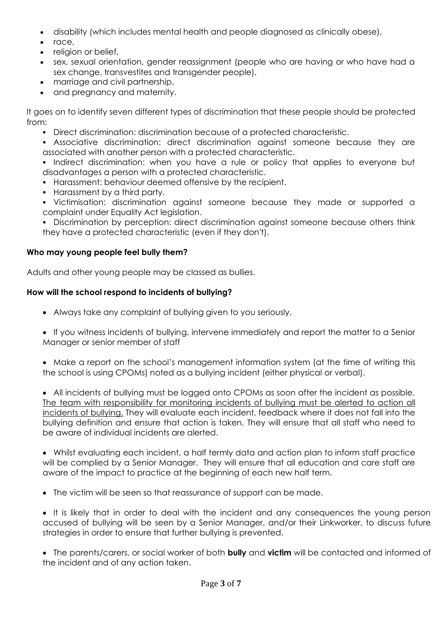- disability (which includes mental health and people diagnosed as clinically obese),
- race,
- religion or belief,
- sex, sexual orientation, gender reassignment (people who are having or who have had a sex change, transvestites and transgender people),
- marriage and civil partnership,
- and pregnancy and maternity.

It goes on to identify seven different types of discrimination that these people should be protected from:

- Direct discrimination: discrimination because of a protected characteristic.
- Associative discrimination: direct discrimination against someone because they are associated with another person with a protected characteristic.
- Indirect discrimination: when you have a rule or policy that applies to everyone but disadvantages a person with a protected characteristic.
- Harassment: behaviour deemed offensive by the recipient.
- Harassment by a third party.
- Victimisation: discrimination against someone because they made or supported a complaint under Equality Act legislation.
- **•** Discrimination by perception: direct discrimination against someone because others think they have a protected characteristic (even if they don't).

## **Who may young people feel bully them?**

Adults and other young people may be classed as bullies.

## **How will the school respond to incidents of bullying?**

- Always take any complaint of bullying given to you seriously.
- If you witness incidents of bullying, intervene immediately and report the matter to a Senior Manager or senior member of staff
- Make a report on the school's management information system (at the time of writing this the school is using CPOMs) noted as a bullying incident (either physical or verbal).

• All incidents of bullying must be logged onto CPOMs as soon after the incident as possible. The team with responsibility for monitoring incidents of bullying must be alerted to action all incidents of bullying. They will evaluate each incident, feedback where it does not fall into the bullying definition and ensure that action is taken. They will ensure that all staff who need to be aware of individual incidents are alerted.

• Whilst evaluating each incident, a half termly data and action plan to inform staff practice will be complied by a Senior Manager. They will ensure that all education and care staff are aware of the impact to practice at the beginning of each new half term.

• The victim will be seen so that reassurance of support can be made.

• It is likely that in order to deal with the incident and any consequences the young person accused of bullying will be seen by a Senior Manager, and/or their Linkworker, to discuss future strategies in order to ensure that further bullying is prevented.

• The parents/carers, or social worker of both **bully** and **victim** will be contacted and informed of the incident and of any action taken.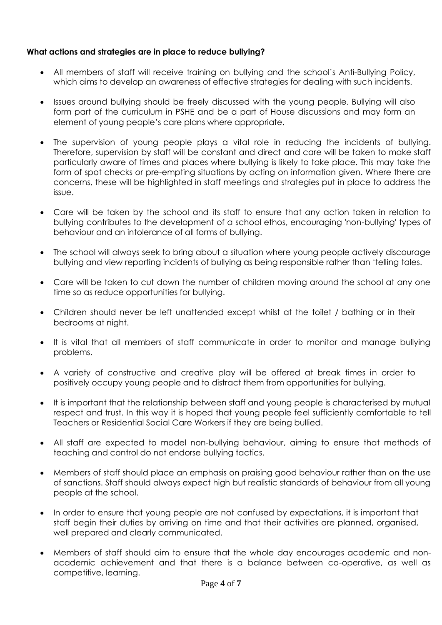## **What actions and strategies are in place to reduce bullying?**

- All members of staff will receive training on bullying and the school's Anti-Bullying Policy, which aims to develop an awareness of effective strategies for dealing with such incidents.
- Issues around bullying should be freely discussed with the young people. Bullying will also form part of the curriculum in PSHE and be a part of House discussions and may form an element of young people's care plans where appropriate.
- The supervision of young people plays a vital role in reducing the incidents of bullying. Therefore, supervision by staff will be constant and direct and care will be taken to make staff particularly aware of times and places where bullying is likely to take place. This may take the form of spot checks or pre-empting situations by acting on information given. Where there are concerns, these will be highlighted in staff meetings and strategies put in place to address the issue.
- Care will be taken by the school and its staff to ensure that any action taken in relation to bullying contributes to the development of a school ethos, encouraging 'non-bullying' types of behaviour and an intolerance of all forms of bullying.
- The school will always seek to bring about a situation where young people actively discourage bullying and view reporting incidents of bullying as being responsible rather than 'telling tales.
- Care will be taken to cut down the number of children moving around the school at any one time so as reduce opportunities for bullying.
- Children should never be left unattended except whilst at the toilet / bathing or in their bedrooms at night.
- It is vital that all members of staff communicate in order to monitor and manage bullying problems.
- A variety of constructive and creative play will be offered at break times in order to positively occupy young people and to distract them from opportunities for bullying.
- It is important that the relationship between staff and young people is characterised by mutual respect and trust. In this way it is hoped that young people feel sufficiently comfortable to tell Teachers or Residential Social Care Workers if they are being bullied.
- All staff are expected to model non-bullying behaviour, aiming to ensure that methods of teaching and control do not endorse bullying tactics.
- Members of staff should place an emphasis on praising good behaviour rather than on the use of sanctions. Staff should always expect high but realistic standards of behaviour from all young people at the school.
- In order to ensure that young people are not confused by expectations, it is important that staff begin their duties by arriving on time and that their activities are planned, organised, well prepared and clearly communicated.
- Members of staff should aim to ensure that the whole day encourages academic and nonacademic achievement and that there is a balance between co-operative, as well as competitive, learning.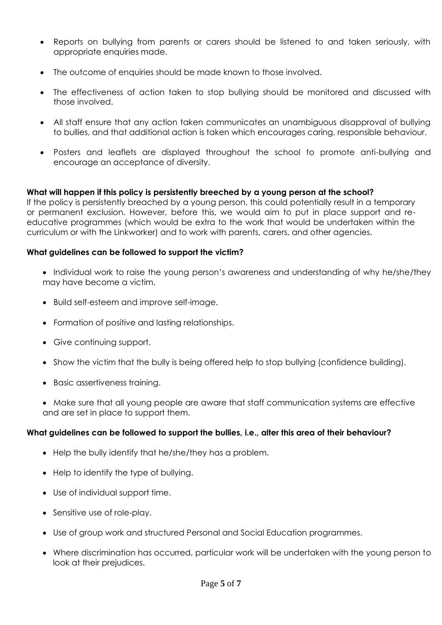- Reports on bullying from parents or carers should be listened to and taken seriously, with appropriate enquiries made.
- The outcome of enquiries should be made known to those involved.
- The effectiveness of action taken to stop bullying should be monitored and discussed with those involved.
- All staff ensure that any action taken communicates an unambiguous disapproval of bullying to bullies, and that additional action is taken which encourages caring, responsible behaviour.
- Posters and leaflets are displayed throughout the school to promote anti-bullying and encourage an acceptance of diversity.

## **What will happen if this policy is persistently breeched by a young person at the school?**

If the policy is persistently breached by a young person, this could potentially result in a temporary or permanent exclusion. However, before this, we would aim to put in place support and reeducative programmes (which would be extra to the work that would be undertaken within the curriculum or with the Linkworker) and to work with parents, carers, and other agencies.

#### **What guidelines can be followed to support the victim?**

- Individual work to raise the young person's awareness and understanding of why he/she/they may have become a victim.
- Build self-esteem and improve self-image.
- Formation of positive and lasting relationships.
- Give continuing support.
- Show the victim that the bully is being offered help to stop bullying (confidence building).
- Basic assertiveness training.
- Make sure that all young people are aware that staff communication systems are effective and are set in place to support them.

#### **What guidelines can be followed to support the bullies, i.e., alter this area of their behaviour?**

- Help the bully identify that he/she/they has a problem.
- Help to identify the type of bullying.
- Use of individual support time.
- Sensitive use of role-play.
- Use of group work and structured Personal and Social Education programmes.
- Where discrimination has occurred, particular work will be undertaken with the young person to look at their prejudices.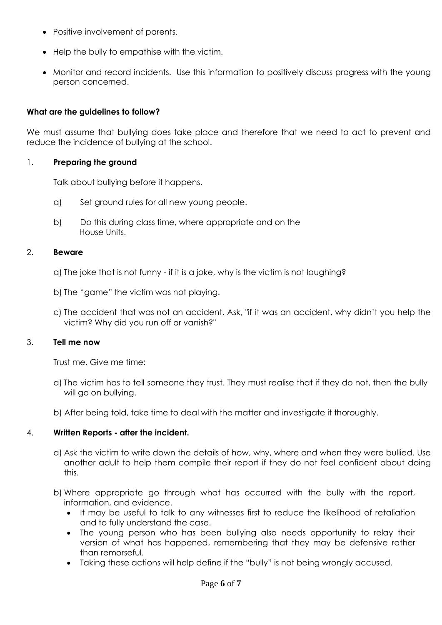- Positive involvement of parents.
- Help the bully to empathise with the victim.
- Monitor and record incidents. Use this information to positively discuss progress with the young person concerned.

#### **What are the guidelines to follow?**

We must assume that bullying does take place and therefore that we need to act to prevent and reduce the incidence of bullying at the school.

#### 1. **Preparing the ground**

Talk about bullying before it happens.

- a) Set ground rules for all new young people.
- b) Do this during class time, where appropriate and on the House Units.

#### 2. **Beware**

- a) The joke that is not funny if it is a joke, why is the victim is not laughing?
- b) The "game" the victim was not playing.
- c) The accident that was not an accident. Ask, "if it was an accident, why didn't you help the victim? Why did you run off or vanish?"

#### 3. **Tell me now**

Trust me. Give me time:

- a) The victim has to tell someone they trust. They must realise that if they do not, then the bully will go on bullying.
- b) After being told, take time to deal with the matter and investigate it thoroughly.

#### 4. **Written Reports - after the incident.**

- a) Ask the victim to write down the details of how, why, where and when they were bullied. Use another adult to help them compile their report if they do not feel confident about doing this.
- b) Where appropriate go through what has occurred with the bully with the report, information, and evidence.
	- It may be useful to talk to any witnesses first to reduce the likelihood of retaliation and to fully understand the case.
	- The young person who has been bullying also needs opportunity to relay their version of what has happened, remembering that they may be defensive rather than remorseful.
	- Taking these actions will help define if the "bully" is not being wrongly accused.